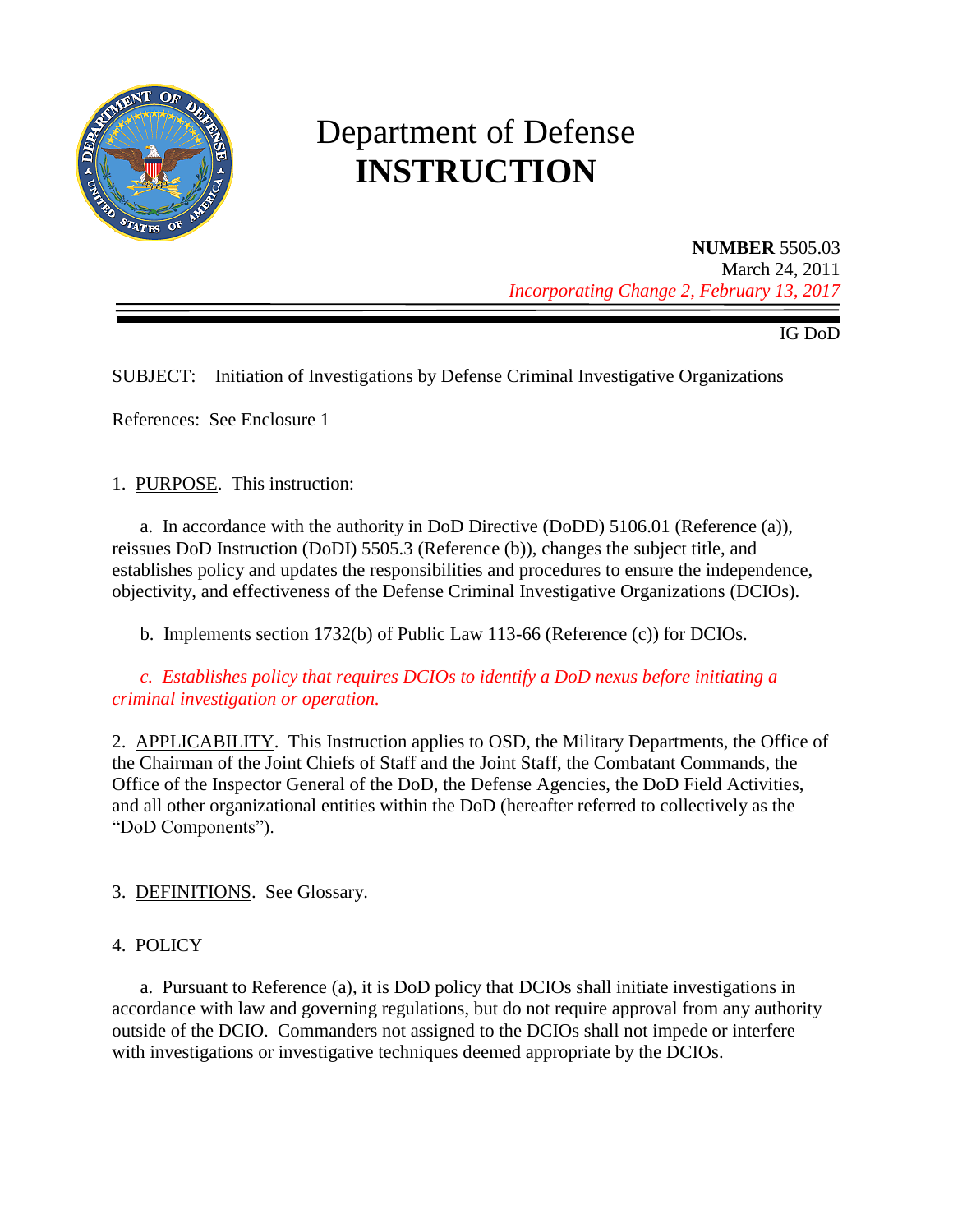

# Department of Defense **INSTRUCTION**

**NUMBER** 5505.03 March 24, 2011 *Incorporating Change 2, February 13, 2017*

IG DoD

SUBJECT: Initiation of Investigations by Defense Criminal Investigative Organizations

References: See Enclosure 1

1. PURPOSE. This instruction:

a. In accordance with the authority in DoD Directive (DoDD) 5106.01 (Reference (a)), reissues DoD Instruction (DoDI) 5505.3 (Reference (b)), changes the subject title, and establishes policy and updates the responsibilities and procedures to ensure the independence, objectivity, and effectiveness of the Defense Criminal Investigative Organizations (DCIOs).

b. Implements section 1732(b) of Public Law 113-66 (Reference (c)) for DCIOs.

*c. Establishes policy that requires DCIOs to identify a DoD nexus before initiating a criminal investigation or operation.*

2. APPLICABILITY. This Instruction applies to OSD, the Military Departments, the Office of the Chairman of the Joint Chiefs of Staff and the Joint Staff, the Combatant Commands, the Office of the Inspector General of the DoD, the Defense Agencies, the DoD Field Activities, and all other organizational entities within the DoD (hereafter referred to collectively as the "DoD Components").

3. DEFINITIONS. See Glossary.

#### 4. POLICY

a. Pursuant to Reference (a), it is DoD policy that DCIOs shall initiate investigations in accordance with law and governing regulations, but do not require approval from any authority outside of the DCIO. Commanders not assigned to the DCIOs shall not impede or interfere with investigations or investigative techniques deemed appropriate by the DCIOs.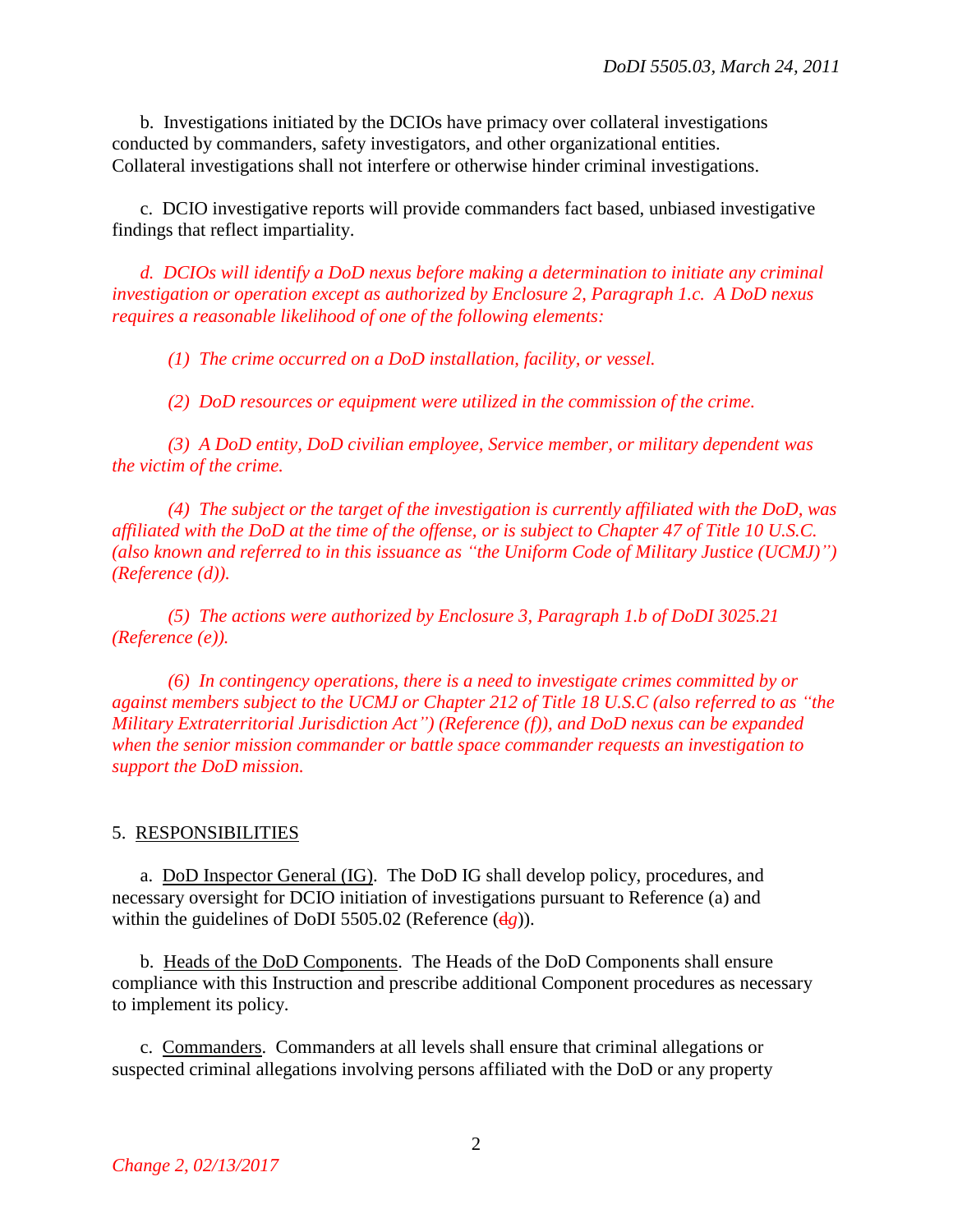b. Investigations initiated by the DCIOs have primacy over collateral investigations conducted by commanders, safety investigators, and other organizational entities. Collateral investigations shall not interfere or otherwise hinder criminal investigations.

c. DCIO investigative reports will provide commanders fact based, unbiased investigative findings that reflect impartiality.

*d. DCIOs will identify a DoD nexus before making a determination to initiate any criminal investigation or operation except as authorized by Enclosure 2, Paragraph 1.c. A DoD nexus requires a reasonable likelihood of one of the following elements:*

*(1) The crime occurred on a DoD installation, facility, or vessel.*

*(2) DoD resources or equipment were utilized in the commission of the crime.*

*(3) A DoD entity, DoD civilian employee, Service member, or military dependent was the victim of the crime.* 

*(4) The subject or the target of the investigation is currently affiliated with the DoD, was affiliated with the DoD at the time of the offense, or is subject to Chapter 47 of Title 10 U.S.C. (also known and referred to in this issuance as "the Uniform Code of Military Justice (UCMJ)") (Reference (d)).* 

*(5) The actions were authorized by Enclosure 3, Paragraph 1.b of DoDI 3025.21 (Reference (e)).*

*(6) In contingency operations, there is a need to investigate crimes committed by or against members subject to the UCMJ or Chapter 212 of Title 18 U.S.C (also referred to as "the Military Extraterritorial Jurisdiction Act") (Reference (f)), and DoD nexus can be expanded when the senior mission commander or battle space commander requests an investigation to support the DoD mission.*

#### 5. RESPONSIBILITIES

a. DoD Inspector General (IG). The DoD IG shall develop policy, procedures, and necessary oversight for DCIO initiation of investigations pursuant to Reference (a) and within the guidelines of DoDI 5505.02 (Reference (d*g*)).

b. Heads of the DoD Components. The Heads of the DoD Components shall ensure compliance with this Instruction and prescribe additional Component procedures as necessary to implement its policy.

c. Commanders. Commanders at all levels shall ensure that criminal allegations or suspected criminal allegations involving persons affiliated with the DoD or any property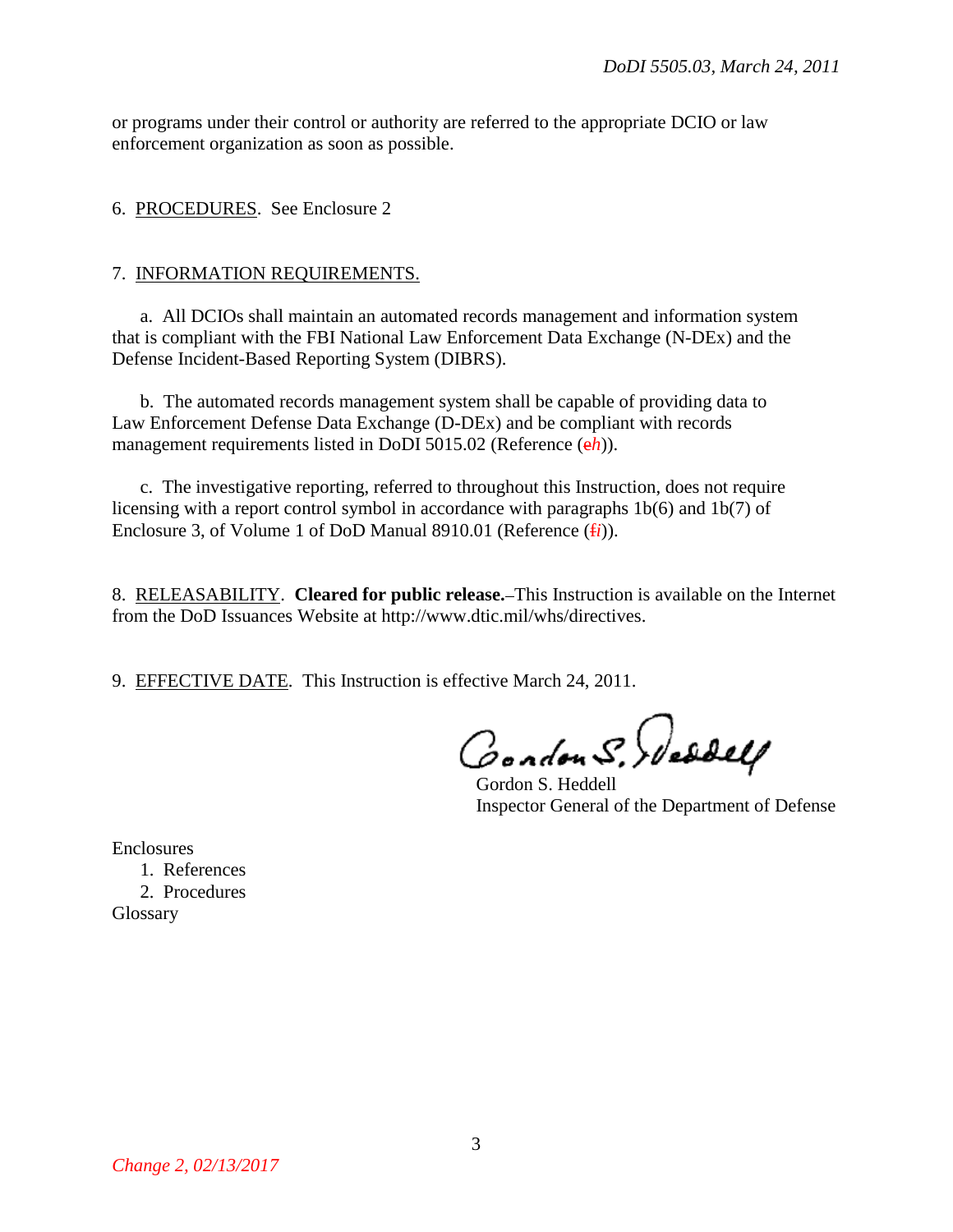or programs under their control or authority are referred to the appropriate DCIO or law enforcement organization as soon as possible.

6. PROCEDURES. See Enclosure 2

#### 7. INFORMATION REQUIREMENTS.

a. All DCIOs shall maintain an automated records management and information system that is compliant with the FBI National Law Enforcement Data Exchange (N-DEx) and the Defense Incident-Based Reporting System (DIBRS).

b. The automated records management system shall be capable of providing data to Law Enforcement Defense Data Exchange (D-DEx) and be compliant with records management requirements listed in DoDI 5015.02 (Reference (e*h*)).

c. The investigative reporting, referred to throughout this Instruction, does not require licensing with a report control symbol in accordance with paragraphs 1b(6) and 1b(7) of Enclosure 3, of Volume 1 of DoD Manual 8910.01 (Reference (f*i*)).

8. RELEASABILITY. **Cleared for public release.** This Instruction is available on the Internet from the DoD Issuances Website at http://www.dtic.mil/whs/directives.

9. EFFECTIVE DATE. This Instruction is effective March 24, 2011.

Condon S. Wesself

Gordon S. Heddell Inspector General of the Department of Defense

Enclosures

1. References 2. Procedures **Glossary**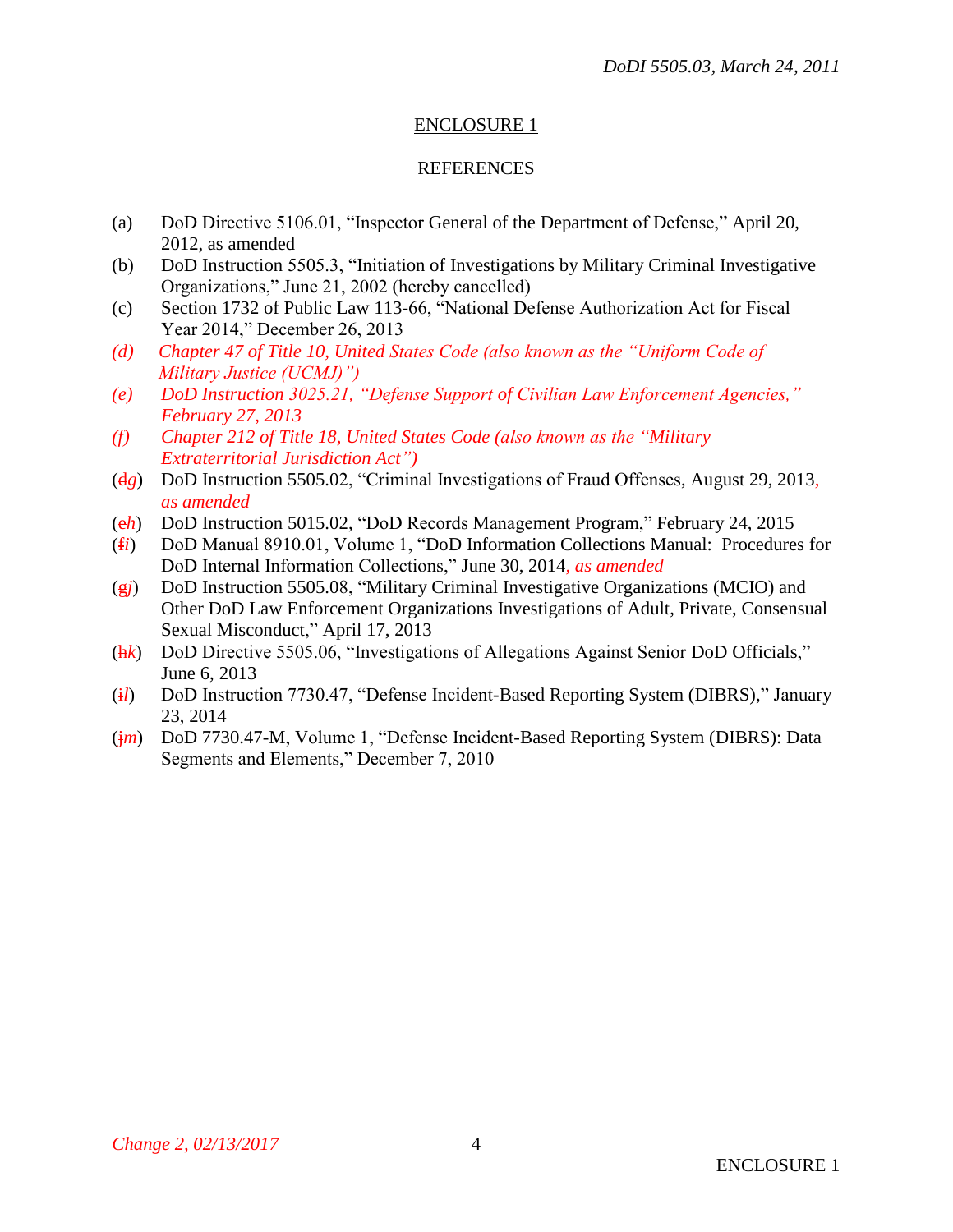# ENCLOSURE 1

#### REFERENCES

- (a) DoD Directive 5106.01, "Inspector General of the Department of Defense," April 20, 2012, as amended
- (b) DoD Instruction 5505.3, "Initiation of Investigations by Military Criminal Investigative Organizations," June 21, 2002 (hereby cancelled)
- (c) Section 1732 of Public Law 113-66, "National Defense Authorization Act for Fiscal Year 2014," December 26, 2013
- *(d) Chapter 47 of Title 10, United States Code (also known as the "Uniform Code of Military Justice (UCMJ)")*
- *(e) DoD Instruction 3025.21, "Defense Support of Civilian Law Enforcement Agencies," February 27, 2013*
- *(f) Chapter 212 of Title 18, United States Code (also known as the "Military Extraterritorial Jurisdiction Act")*
- (d*g*) DoD Instruction 5505.02, "Criminal Investigations of Fraud Offenses, August 29, 2013*, as amended*
- (e*h*) DoD Instruction 5015.02, "DoD Records Management Program," February 24, 2015
- (f*i*) DoD Manual 8910.01, Volume 1, "DoD Information Collections Manual: Procedures for DoD Internal Information Collections," June 30, 2014*, as amended*
- (g*j*) DoD Instruction 5505.08, "Military Criminal Investigative Organizations (MCIO) and Other DoD Law Enforcement Organizations Investigations of Adult, Private, Consensual Sexual Misconduct," April 17, 2013
- (h*k*) DoD Directive 5505.06, "Investigations of Allegations Against Senior DoD Officials," June 6, 2013
- (i*l*) DoD Instruction 7730.47, "Defense Incident-Based Reporting System (DIBRS)," January 23, 2014
- (j*m*) DoD 7730.47-M, Volume 1, "Defense Incident-Based Reporting System (DIBRS): Data Segments and Elements," December 7, 2010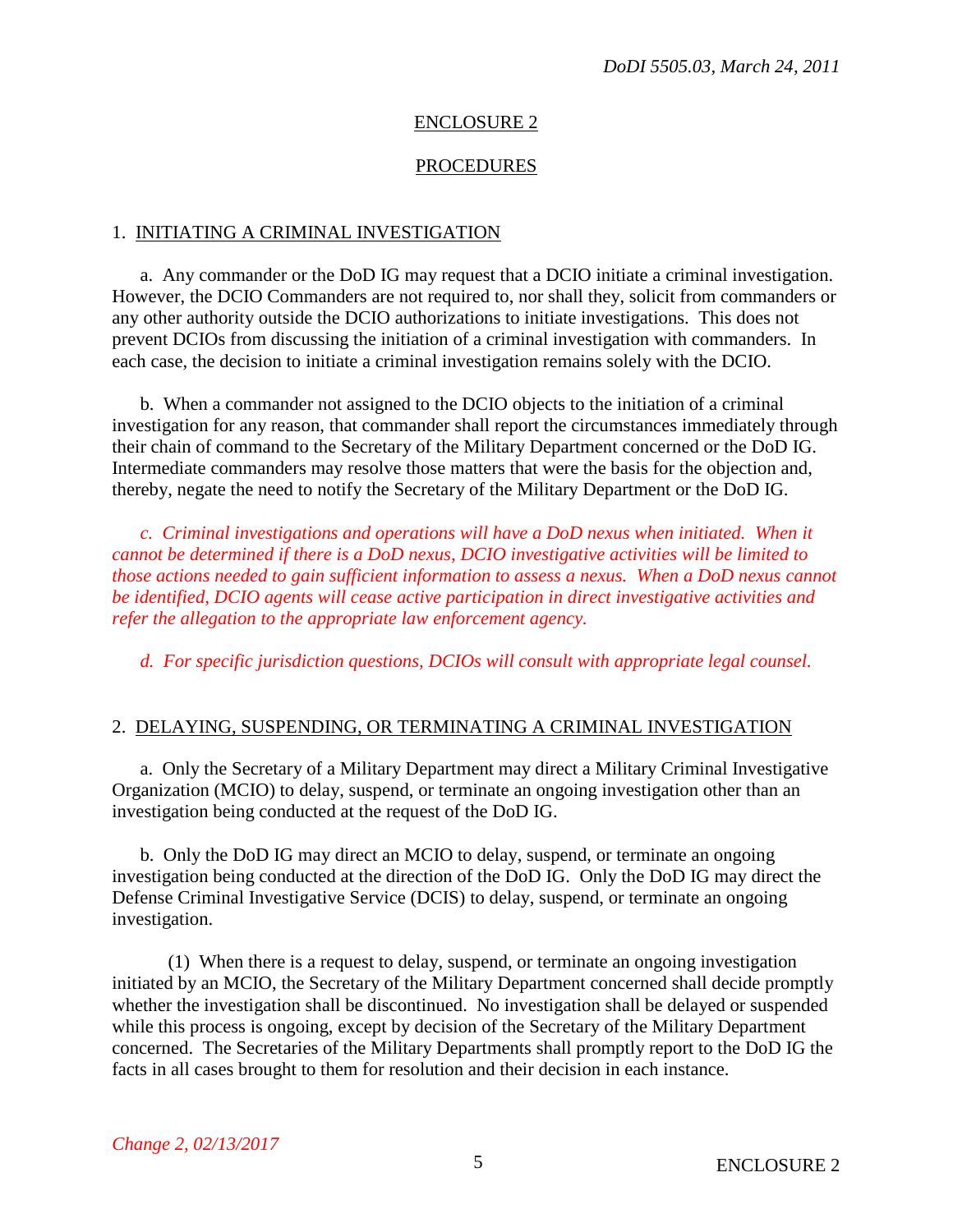#### ENCLOSURE 2

#### PROCEDURES

#### 1. INITIATING A CRIMINAL INVESTIGATION

a. Any commander or the DoD IG may request that a DCIO initiate a criminal investigation. However, the DCIO Commanders are not required to, nor shall they, solicit from commanders or any other authority outside the DCIO authorizations to initiate investigations. This does not prevent DCIOs from discussing the initiation of a criminal investigation with commanders. In each case, the decision to initiate a criminal investigation remains solely with the DCIO.

b. When a commander not assigned to the DCIO objects to the initiation of a criminal investigation for any reason, that commander shall report the circumstances immediately through their chain of command to the Secretary of the Military Department concerned or the DoD IG. Intermediate commanders may resolve those matters that were the basis for the objection and, thereby, negate the need to notify the Secretary of the Military Department or the DoD IG.

*c. Criminal investigations and operations will have a DoD nexus when initiated. When it cannot be determined if there is a DoD nexus, DCIO investigative activities will be limited to those actions needed to gain sufficient information to assess a nexus. When a DoD nexus cannot be identified, DCIO agents will cease active participation in direct investigative activities and refer the allegation to the appropriate law enforcement agency.* 

*d. For specific jurisdiction questions, DCIOs will consult with appropriate legal counsel.*

#### 2. DELAYING, SUSPENDING, OR TERMINATING A CRIMINAL INVESTIGATION

a. Only the Secretary of a Military Department may direct a Military Criminal Investigative Organization (MCIO) to delay, suspend, or terminate an ongoing investigation other than an investigation being conducted at the request of the DoD IG.

b. Only the DoD IG may direct an MCIO to delay, suspend, or terminate an ongoing investigation being conducted at the direction of the DoD IG. Only the DoD IG may direct the Defense Criminal Investigative Service (DCIS) to delay, suspend, or terminate an ongoing investigation.

(1) When there is a request to delay, suspend, or terminate an ongoing investigation initiated by an MCIO, the Secretary of the Military Department concerned shall decide promptly whether the investigation shall be discontinued. No investigation shall be delayed or suspended while this process is ongoing, except by decision of the Secretary of the Military Department concerned. The Secretaries of the Military Departments shall promptly report to the DoD IG the facts in all cases brought to them for resolution and their decision in each instance.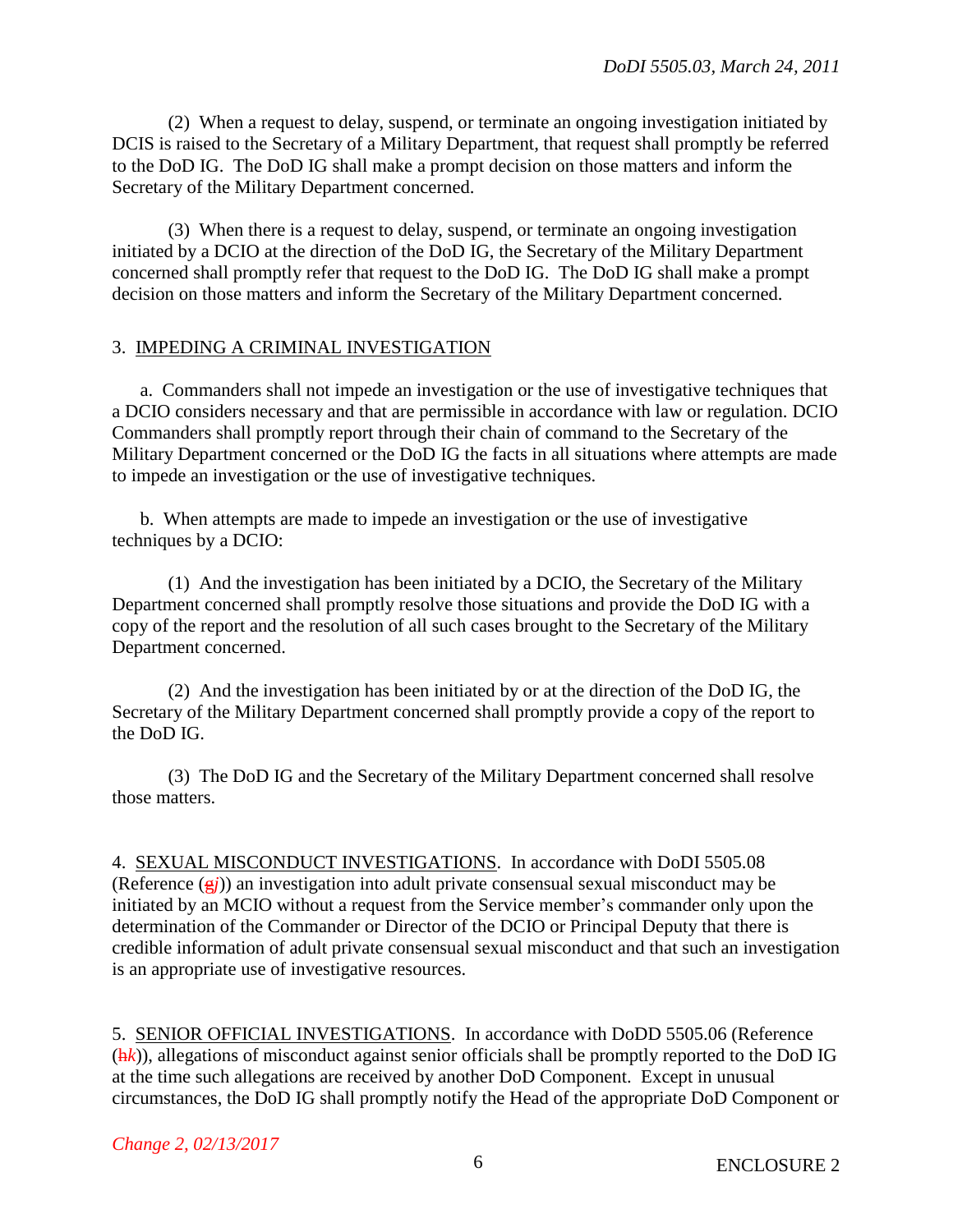(2) When a request to delay, suspend, or terminate an ongoing investigation initiated by DCIS is raised to the Secretary of a Military Department, that request shall promptly be referred to the DoD IG. The DoD IG shall make a prompt decision on those matters and inform the Secretary of the Military Department concerned.

(3) When there is a request to delay, suspend, or terminate an ongoing investigation initiated by a DCIO at the direction of the DoD IG, the Secretary of the Military Department concerned shall promptly refer that request to the DoD IG. The DoD IG shall make a prompt decision on those matters and inform the Secretary of the Military Department concerned.

## 3. IMPEDING A CRIMINAL INVESTIGATION

a. Commanders shall not impede an investigation or the use of investigative techniques that a DCIO considers necessary and that are permissible in accordance with law or regulation. DCIO Commanders shall promptly report through their chain of command to the Secretary of the Military Department concerned or the DoD IG the facts in all situations where attempts are made to impede an investigation or the use of investigative techniques.

b. When attempts are made to impede an investigation or the use of investigative techniques by a DCIO:

(1) And the investigation has been initiated by a DCIO, the Secretary of the Military Department concerned shall promptly resolve those situations and provide the DoD IG with a copy of the report and the resolution of all such cases brought to the Secretary of the Military Department concerned.

(2) And the investigation has been initiated by or at the direction of the DoD IG, the Secretary of the Military Department concerned shall promptly provide a copy of the report to the DoD IG.

(3) The DoD IG and the Secretary of the Military Department concerned shall resolve those matters.

4. SEXUAL MISCONDUCT INVESTIGATIONS. In accordance with DoDI 5505.08 (Reference (g*j*)) an investigation into adult private consensual sexual misconduct may be initiated by an MCIO without a request from the Service member's commander only upon the determination of the Commander or Director of the DCIO or Principal Deputy that there is credible information of adult private consensual sexual misconduct and that such an investigation is an appropriate use of investigative resources.

5. SENIOR OFFICIAL INVESTIGATIONS. In accordance with DoDD 5505.06 (Reference (h*k*)), allegations of misconduct against senior officials shall be promptly reported to the DoD IG at the time such allegations are received by another DoD Component. Except in unusual circumstances, the DoD IG shall promptly notify the Head of the appropriate DoD Component or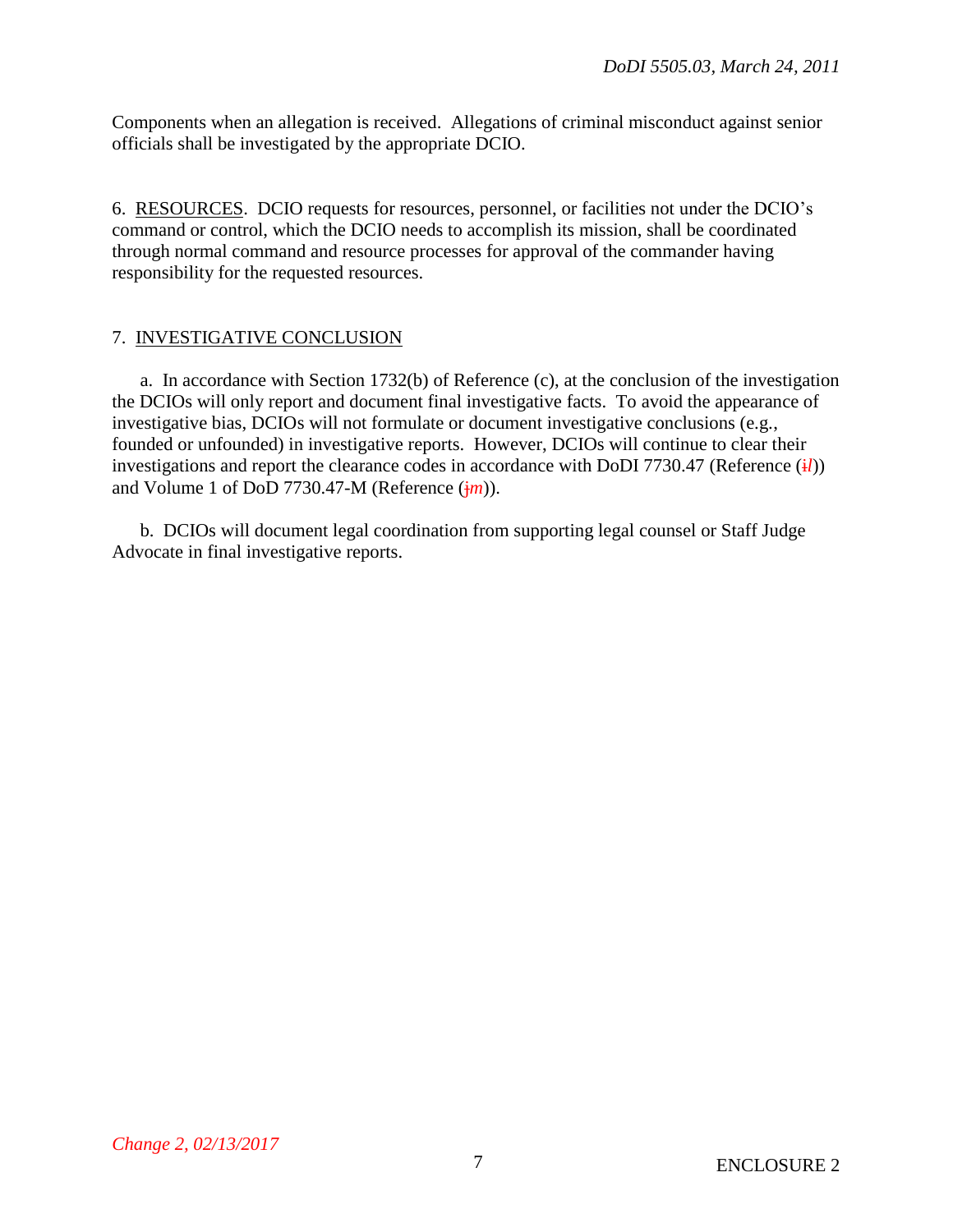Components when an allegation is received. Allegations of criminal misconduct against senior officials shall be investigated by the appropriate DCIO.

6. RESOURCES. DCIO requests for resources, personnel, or facilities not under the DCIO's command or control, which the DCIO needs to accomplish its mission, shall be coordinated through normal command and resource processes for approval of the commander having responsibility for the requested resources.

# 7. INVESTIGATIVE CONCLUSION

a. In accordance with Section 1732(b) of Reference (c), at the conclusion of the investigation the DCIOs will only report and document final investigative facts. To avoid the appearance of investigative bias, DCIOs will not formulate or document investigative conclusions (e.g., founded or unfounded) in investigative reports. However, DCIOs will continue to clear their investigations and report the clearance codes in accordance with DoDI 7730.47 (Reference  $(i*l*)$ ) and Volume 1 of DoD 7730.47-M (Reference  $(jm)$ ).

b. DCIOs will document legal coordination from supporting legal counsel or Staff Judge Advocate in final investigative reports.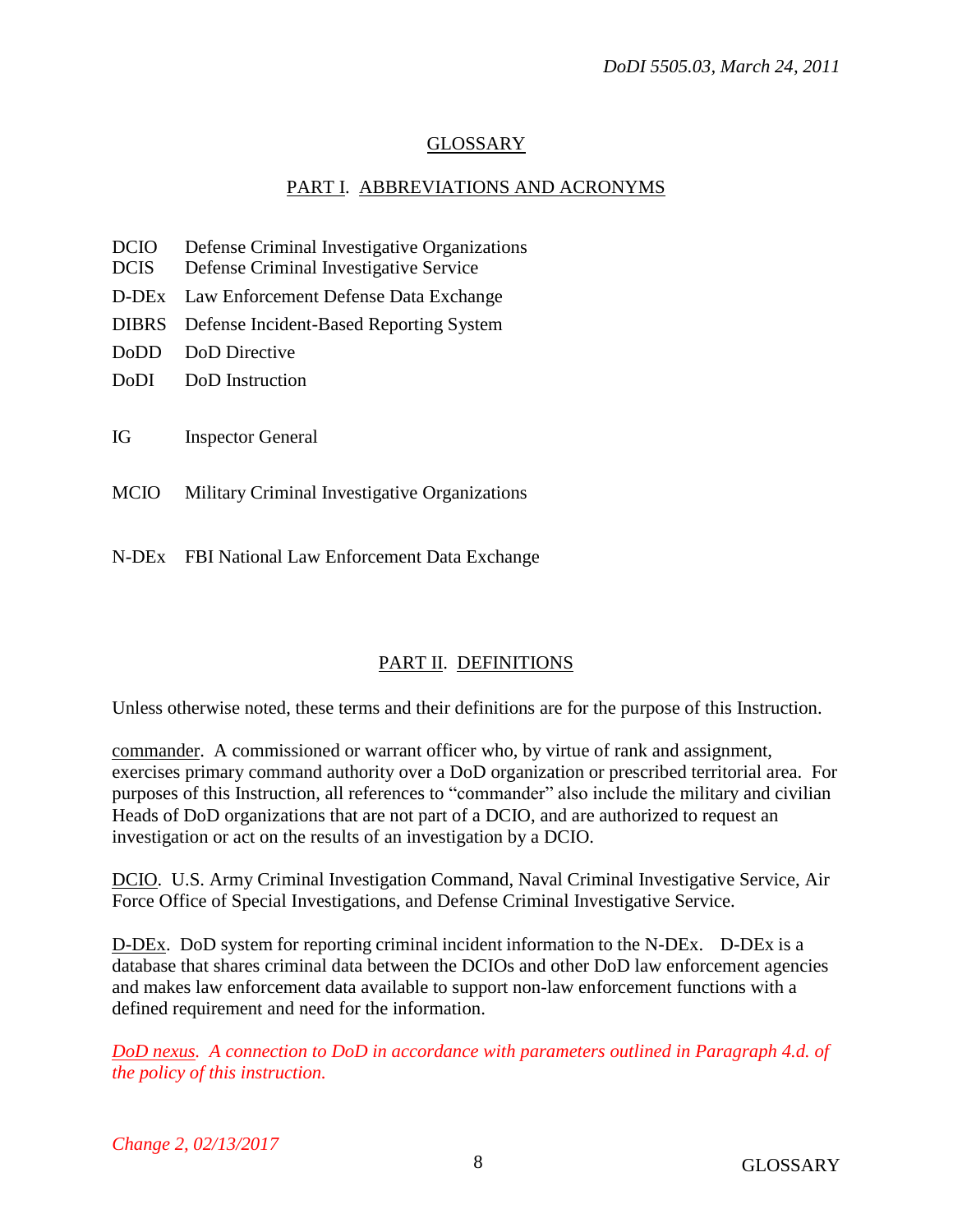# GLOSSARY

# PART I. ABBREVIATIONS AND ACRONYMS

- DCIO Defense Criminal Investigative Organizations
- DCIS Defense Criminal Investigative Service
- D-DEx Law Enforcement Defense Data Exchange
- DIBRS Defense Incident-Based Reporting System
- DoDD DoD Directive
- DoDI DoD Instruction
- IG Inspector General
- MCIO Military Criminal Investigative Organizations
- N-DEx FBI National Law Enforcement Data Exchange

# PART II. DEFINITIONS

Unless otherwise noted, these terms and their definitions are for the purpose of this Instruction.

commander. A commissioned or warrant officer who, by virtue of rank and assignment, exercises primary command authority over a DoD organization or prescribed territorial area. For purposes of this Instruction, all references to "commander" also include the military and civilian Heads of DoD organizations that are not part of a DCIO, and are authorized to request an investigation or act on the results of an investigation by a DCIO.

DCIO. U.S. Army Criminal Investigation Command, Naval Criminal Investigative Service, Air Force Office of Special Investigations, and Defense Criminal Investigative Service.

D-DEx. DoD system for reporting criminal incident information to the N-DEx. D-DEx is a database that shares criminal data between the DCIOs and other DoD law enforcement agencies and makes law enforcement data available to support non-law enforcement functions with a defined requirement and need for the information.

*DoD nexus. A connection to DoD in accordance with parameters outlined in Paragraph 4.d. of the policy of this instruction.*